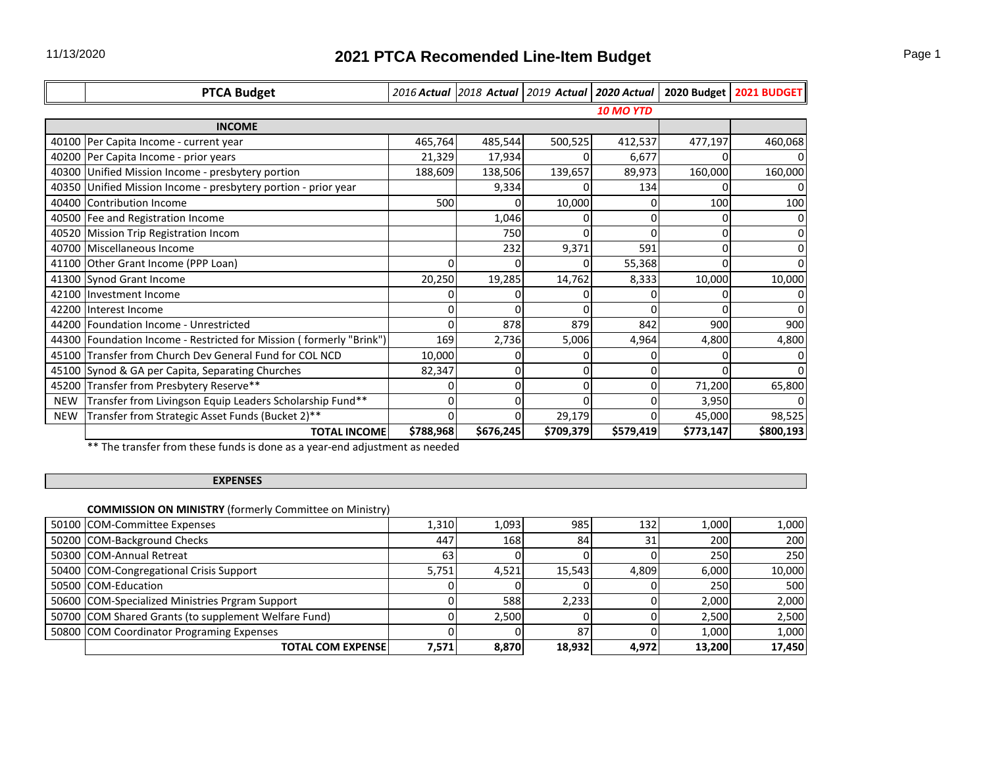|     | <b>PTCA Budget</b>                                                    |           |           | 2016 Actual 2018 Actual 2019 Actual 2020 Actual |           | 2020 Budget | <b>2021 BUDGET</b> |
|-----|-----------------------------------------------------------------------|-----------|-----------|-------------------------------------------------|-----------|-------------|--------------------|
|     |                                                                       |           |           |                                                 | 10 MO YTD |             |                    |
|     | <b>INCOME</b>                                                         |           |           |                                                 |           |             |                    |
|     | 40100 Per Capita Income - current year                                | 465,764   | 485,544   | 500,525                                         | 412,537   | 477,197     | 460,068            |
|     | 40200 Per Capita Income - prior years                                 | 21,329    | 17,934    |                                                 | 6,677     |             |                    |
|     | 40300 Unified Mission Income - presbytery portion                     | 188,609   | 138,506   | 139,657                                         | 89,973    | 160,000     | 160,000            |
|     | 40350 Unified Mission Income - presbytery portion - prior year        |           | 9,334     |                                                 | 134       |             | 0                  |
|     | 40400 Contribution Income                                             | 500       |           | 10,000                                          |           | 100         | 100                |
|     | 40500 Fee and Registration Income                                     |           | 1,046     | 0                                               |           |             | 0                  |
|     | 40520 Mission Trip Registration Incom                                 |           | 750       |                                                 |           |             | 0                  |
|     | 40700 Miscellaneous Income                                            |           | 232       | 9,371                                           | 591       |             |                    |
|     | 41100 Other Grant Income (PPP Loan)                                   |           |           |                                                 | 55,368    |             | $\Omega$           |
|     | 41300 Synod Grant Income                                              | 20,250    | 19,285    | 14,762                                          | 8,333     | 10,000      | 10,000             |
|     | 42100 Investment Income                                               |           |           |                                                 |           |             |                    |
|     | 42200 Interest Income                                                 |           | U         | $\Omega$                                        |           |             | $\Omega$           |
|     | 44200 Foundation Income - Unrestricted                                |           | 878       | 879                                             | 842       | 900         | 900                |
|     | 44300   Foundation Income - Restricted for Mission (formerly "Brink") | 169       | 2,736     | 5,006                                           | 4,964     | 4,800       | 4,800              |
|     | 45100 Transfer from Church Dev General Fund for COL NCD               | 10,000    | 0         | U                                               |           |             | 0                  |
|     | 45100 Synod & GA per Capita, Separating Churches                      | 82,347    | 0         | 0                                               |           |             | $\Omega$           |
|     | 45200 Transfer from Presbytery Reserve**                              |           | 0         | $\Omega$                                        |           | 71,200      | 65,800             |
| NEW | Transfer from Livingson Equip Leaders Scholarship Fund**              |           | 0         | $\Omega$                                        |           | 3,950       | 0                  |
| NEW | Transfer from Strategic Asset Funds (Bucket 2)**                      |           |           | 29,179                                          |           | 45,000      | 98,525             |
|     | <b>TOTAL INCOME</b>                                                   | \$788,968 | \$676,245 | \$709,379                                       | \$579,419 | \$773,147   | \$800,193          |

\*\* The transfer from these funds is done as a year-end adjustment as needed

## **EXPENSES**

# **COMMISSION ON MINISTRY** (formerly Committee on Ministry)

| 50100 COM-Committee Expenses                         | 1,310 | 1.093 | 985    | 132   | 1,000  | 1,000  |
|------------------------------------------------------|-------|-------|--------|-------|--------|--------|
| 50200 COM-Background Checks                          | 447   | 168   | 84     | 31    | 200    | 200    |
| 50300 COM-Annual Retreat                             | 63    |       |        |       | 250    | 250    |
| 50400 COM-Congregational Crisis Support              | 5,751 | 4,521 | 15,543 | 4,809 | 6,000  | 10,000 |
| 50500 COM-Education                                  |       |       |        |       | 250    | 500    |
| 50600 COM-Specialized Ministries Prgram Support      |       | 588   | 2,233  |       | 2,000  | 2,000  |
| 50700 COM Shared Grants (to supplement Welfare Fund) |       | 2.500 |        |       | 2,500  | 2,500  |
| 50800 COM Coordinator Programing Expenses            |       |       | 87     |       | 1,000  | 1,000  |
| TOTAL COM EXPENSE                                    | 7,571 | 8,870 | 18,932 | 4,972 | 13.200 | 17,450 |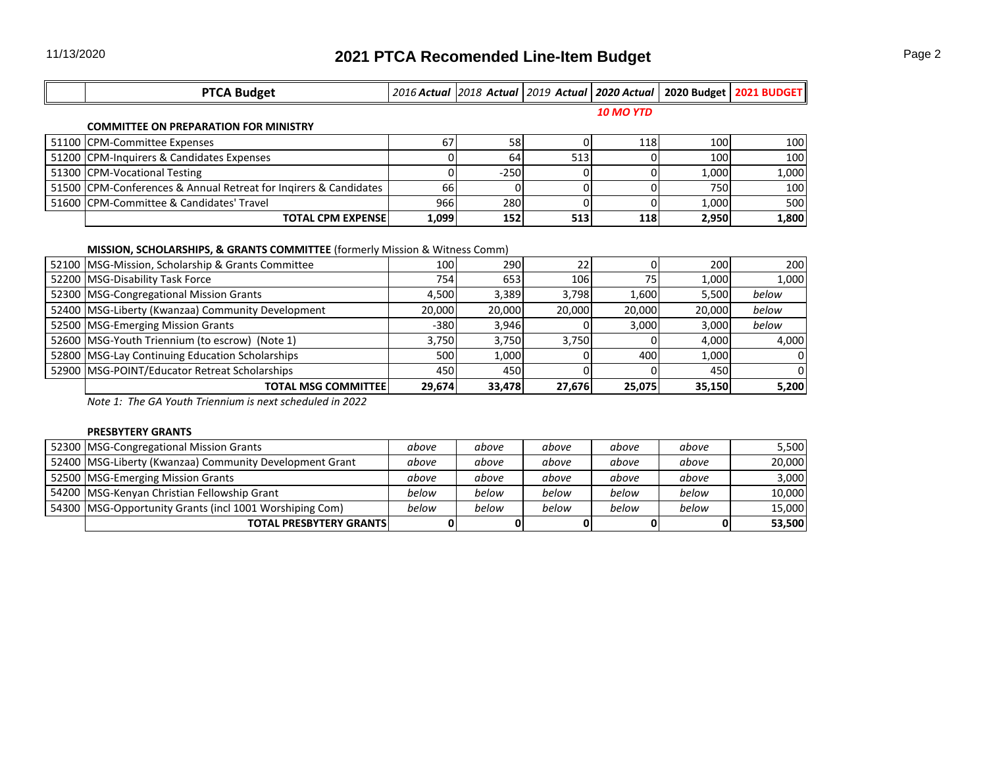| <b>PTCA Budget</b> |  |                  | 2016 Actual   2018 Actual   2019 Actual   2020 Actual   2020 Budget   2021 BUDGET |
|--------------------|--|------------------|-----------------------------------------------------------------------------------|
|                    |  | <b>10 MO YTD</b> |                                                                                   |

#### **COMMITTEE ON PREPARATION FOR MINISTRY**

| 51100 CPM-Committee Expenses                                     | 67    | 58     |     | 118 | 100   | 100   |
|------------------------------------------------------------------|-------|--------|-----|-----|-------|-------|
| 51200 CPM-Inquirers & Candidates Expenses                        |       | 64     | 513 |     | 100   | 100   |
| 51300 CPM-Vocational Testing                                     |       | $-250$ |     |     | 1.000 | 1,000 |
| 51500 CPM-Conferences & Annual Retreat for Ingirers & Candidates | 66    |        |     |     | 750   | 100   |
| 51600 CPM-Committee & Candidates' Travel                         | 966   | 280    |     |     | 1.000 | 500   |
| <b>TOTAL CPM EXPENSE!</b>                                        | 1,099 | 152    | 513 | 118 | 2,950 | 1,800 |

# **MISSION, SCHOLARSHIPS, & GRANTS COMMITTEE** (formerly Mission & Witness Comm)

| 52100   MSG-Mission, Scholarship & Grants Committee | 100    | 290    | 22     |        | 200    | 200   |
|-----------------------------------------------------|--------|--------|--------|--------|--------|-------|
| 52200 MSG-Disability Task Force                     | 754    | 653    | 106    | 751    | 1.000  | 1,000 |
| 52300 MSG-Congregational Mission Grants             | 4.500  | 3.389  | 3.798  | 1.600  | 5.500  | below |
| 52400 MSG-Liberty (Kwanzaa) Community Development   | 20.000 | 20,000 | 20,000 | 20,000 | 20,000 | below |
| 52500 MSG-Emerging Mission Grants                   | $-380$ | 3.946  |        | 3.000  | 3.000  | below |
| 52600 MSG-Youth Triennium (to escrow) (Note 1)      | 3.750  | 3.750  | 3.750  |        | 4.000  | 4.000 |
| 52800 MSG-Lay Continuing Education Scholarships     | 500    | 1.000  |        | 400    | 1.000  |       |
| 52900 MSG-POINT/Educator Retreat Scholarships       | 450    | 450    |        |        | 450    |       |
| TOTAL MSG COMMITTEE !                               | 29.674 | 33,478 | 27,676 | 25,075 | 35.150 | 5,200 |

*Note 1: The GA Youth Triennium is next scheduled in 2022*

#### **PRESBYTERY GRANTS**

| 52300 MSG-Congregational Mission Grants                   | above | above | above | above | above | 5,500  |
|-----------------------------------------------------------|-------|-------|-------|-------|-------|--------|
| 52400   MSG-Liberty (Kwanzaa) Community Development Grant | above | above | above | above | above | 20,000 |
| 52500 MSG-Emerging Mission Grants                         | above | above | above | above | above | 3,000  |
| 54200 MSG-Kenyan Christian Fellowship Grant               | below | below | below | below | below | 10,000 |
| 54300   MSG-Opportunity Grants (incl 1001 Worshiping Com) | below | below | below | below | below | 15,000 |
| <b>TOTAL PRESBYTERY GRANTS!</b>                           |       |       |       |       |       | 53,500 |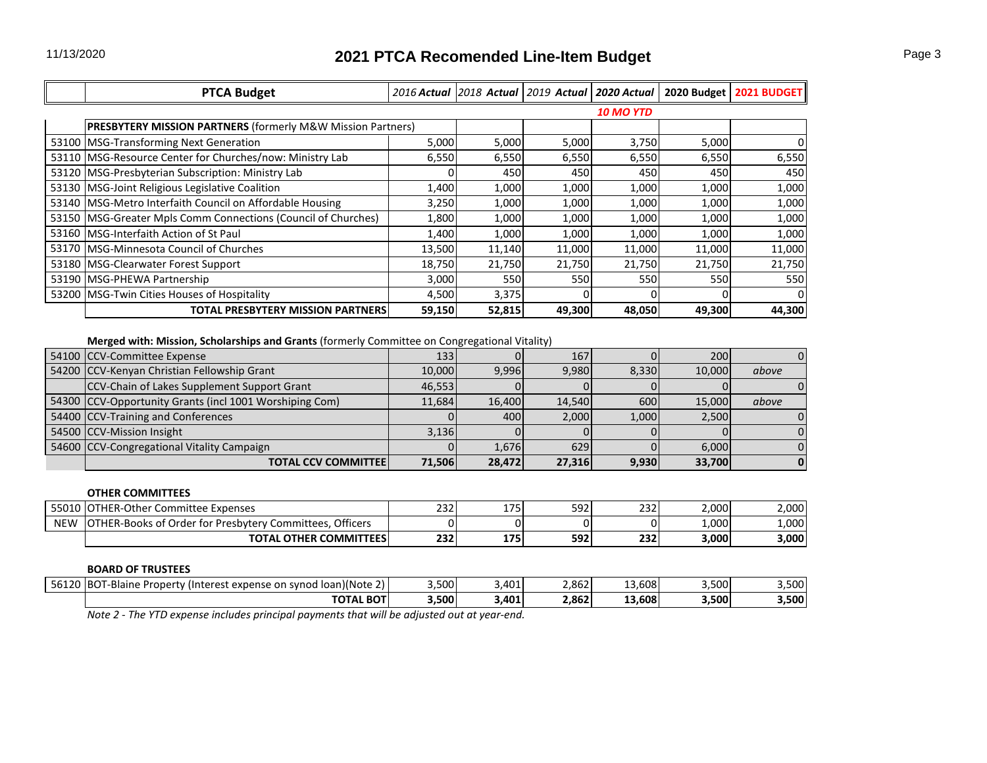| <b>PTCA Budget</b>                                                 |        |        | 2016 Actual 2018 Actual 2019 Actual 2020 Actual |                  |        | 2020 Budget   2021 BUDGET |
|--------------------------------------------------------------------|--------|--------|-------------------------------------------------|------------------|--------|---------------------------|
|                                                                    |        |        |                                                 | <b>10 MO YTD</b> |        |                           |
| <b>PRESBYTERY MISSION PARTNERS</b> (formerly M&W Mission Partners) |        |        |                                                 |                  |        |                           |
| 53100 MSG-Transforming Next Generation                             | 5,000  | 5,000  | 5,000                                           | 3,750            | 5,000  |                           |
| 53110   MSG-Resource Center for Churches/now: Ministry Lab         | 6,550  | 6,550  | 6,550                                           | 6,550            | 6,550  | 6,550                     |
| 53120   MSG-Presbyterian Subscription: Ministry Lab                |        | 450    | 450                                             | 450              | 450    | 450                       |
| 53130 MSG-Joint Religious Legislative Coalition                    | 1,400  | 1,000  | 1,000                                           | 1,000            | 1,000  | 1,000                     |
| 53140   MSG-Metro Interfaith Council on Affordable Housing         | 3,250  | 1,000  | 1,000                                           | 1,000            | 1,000  | 1,000                     |
| 53150   MSG-Greater Mpls Comm Connections (Council of Churches)    | 1,800  | 1,000  | 1,000                                           | 1,000            | 1,000  | 1,000                     |
| 53160 IMSG-Interfaith Action of St Paul                            | 1,400  | 1,000  | 1,000                                           | 1,000            | 1,000  | 1,000                     |
| 53170   MSG-Minnesota Council of Churches                          | 13,500 | 11,140 | 11,000                                          | 11,000           | 11,000 | 11,000                    |
| 53180   MSG-Clearwater Forest Support                              | 18,750 | 21,750 | 21,750                                          | 21,750           | 21,750 | 21,750                    |
| 53190 MSG-PHEWA Partnership                                        | 3,000  | 550    | 550                                             | 550              | 550    | 550                       |
| 53200 MSG-Twin Cities Houses of Hospitality                        | 4,500  | 3,375  |                                                 |                  |        |                           |
| <b>TOTAL PRESBYTERY MISSION PARTNERS</b>                           | 59,150 | 52,815 | 49,300                                          | 48,050           | 49,300 | 44,300                    |

**Merged with: Mission, Scholarships and Grants** (formerly Committee on Congregational Vitality)

| 54100 CCV-Committee Expense                             | 133    |        | 167    |       | 200    |       |
|---------------------------------------------------------|--------|--------|--------|-------|--------|-------|
| 54200 CCV-Kenyan Christian Fellowship Grant             | 10.000 | 9.996  | 9.980  | 8.330 | 10.000 | above |
| CCV-Chain of Lakes Supplement Support Grant             | 46.553 |        |        |       |        |       |
| 54300 CCV-Opportunity Grants (incl 1001 Worshiping Com) | 11.684 | 16.400 | 14,540 | 600   | 15,000 | above |
| 54400 CCV-Training and Conferences                      |        | 400    | 2,000  | 1.000 | 2.500  |       |
| 54500 CCV-Mission Insight                               | 3.136  |        |        |       |        |       |
| 54600 CCV-Congregational Vitality Campaign              |        | 1,676  | 629    |       | 6.000  |       |
| <b>TOTAL CCV COMMITTEE</b>                              | 71,506 | 28,472 | 27,316 | 9,930 | 33,700 |       |

| 55010 OTHER-Other Committee Expenses                     | 232 | 175I        | 592 | 232 | 2.000 | 2,000 |
|----------------------------------------------------------|-----|-------------|-----|-----|-------|-------|
| OTHER-Books of Order for Presbytery Committees, Officers |     |             |     |     | L,000 | 1,000 |
| <b>TOTAL OTHER COMMITTEES!</b>                           | 232 | <b>1751</b> | 592 | 232 | 3,000 | 3,000 |
| <b>BOARD OF TRUSTEES</b>                                 |     |             |     |     |       |       |
|                                                          |     |             |     |     |       |       |

| <b>TOTAL BOT</b>                                                           | 3,500 | ,401 | 2,862 | 13,608<br>$\sim$ | 3,500 | 3,500               |
|----------------------------------------------------------------------------|-------|------|-------|------------------|-------|---------------------|
| 56120 BOT-Blaine<br>(Interest expense on synod loan)(Note 2)<br>: Property | 3,500 | .401 | 2.862 | 13.608           | 3.500 | <b>EOO</b><br>J,JUU |

*Note 2 - The YTD expense includes principal payments that will be adjusted out at year-end.*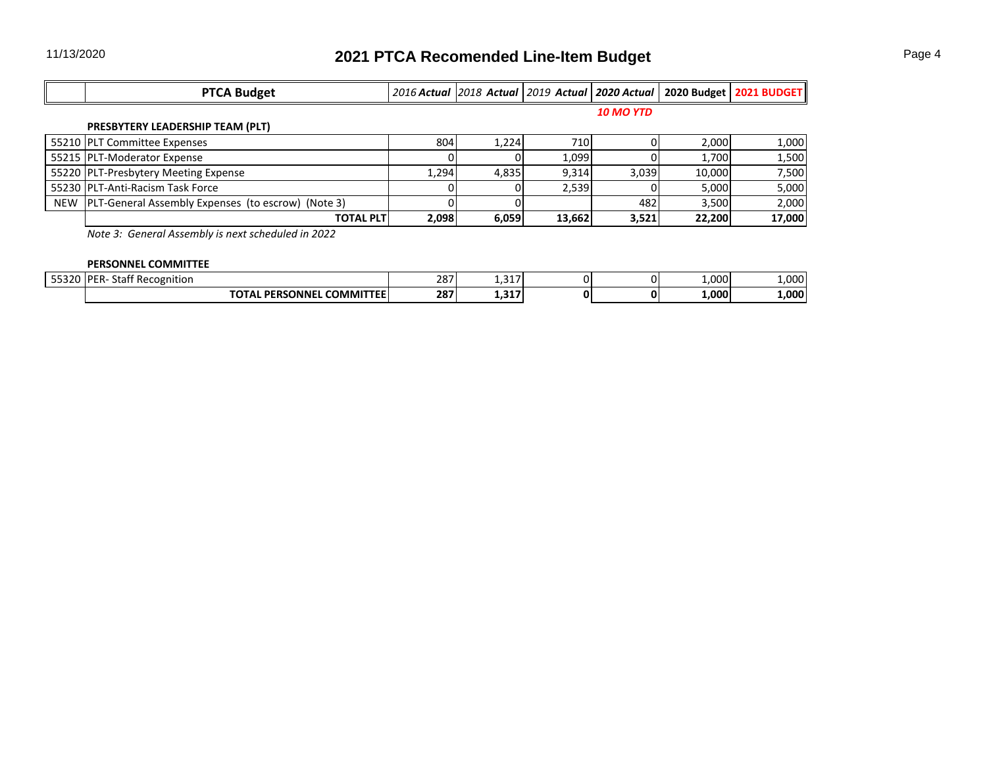| <b>PTCA Budget</b>                                     |       |       |        |                  |        | 2016 Actual 2018 Actual 2019 Actual 2020 Actual 2020 Budget 2021 BUDGET |
|--------------------------------------------------------|-------|-------|--------|------------------|--------|-------------------------------------------------------------------------|
|                                                        |       |       |        | <b>10 MO YTD</b> |        |                                                                         |
| PRESBYTERY LEADERSHIP TEAM (PLT)                       |       |       |        |                  |        |                                                                         |
| 55210 PLT Committee Expenses                           | 804   | 1,224 | 710    |                  | 2,000  | 1,000                                                                   |
| 55215 PLT-Moderator Expense                            |       |       | 1.099  |                  | 1,700  | 1,500                                                                   |
| 55220 PLT-Presbytery Meeting Expense                   | 1.294 | 4,835 | 9.314  | 3,039            | 10,000 | 7,500                                                                   |
| 55230 PLT-Anti-Racism Task Force                       |       |       | 2.539  |                  | 5.000  | 5,000                                                                   |
| NEW PLT-General Assembly Expenses (to escrow) (Note 3) |       |       |        | 482              | 3,500  | 2,000                                                                   |
| <b>TOTAL PLT</b>                                       | 2,098 | 6,059 | 13,662 | 3,521            | 22,200 | 17,000                                                                  |

*Note 3: General Assembly is next scheduled in 2022*

## **PERSONNEL COMMITTEE**

| $- - - - -$ | IDE<br>--<br>: Recognition<br>$- + -$<br>⊃ld i<br>∠n∹ | 207<br>، 20 | $\sim$ $-$<br>- |  | $000 \ldots$ | .000  |
|-------------|-------------------------------------------------------|-------------|-----------------|--|--------------|-------|
|             | <b>COMMITTEE</b><br>ONNF<br>DЕI                       | 207<br>20/  | $\sim$ $-$<br>  |  | √000.        | 1.000 |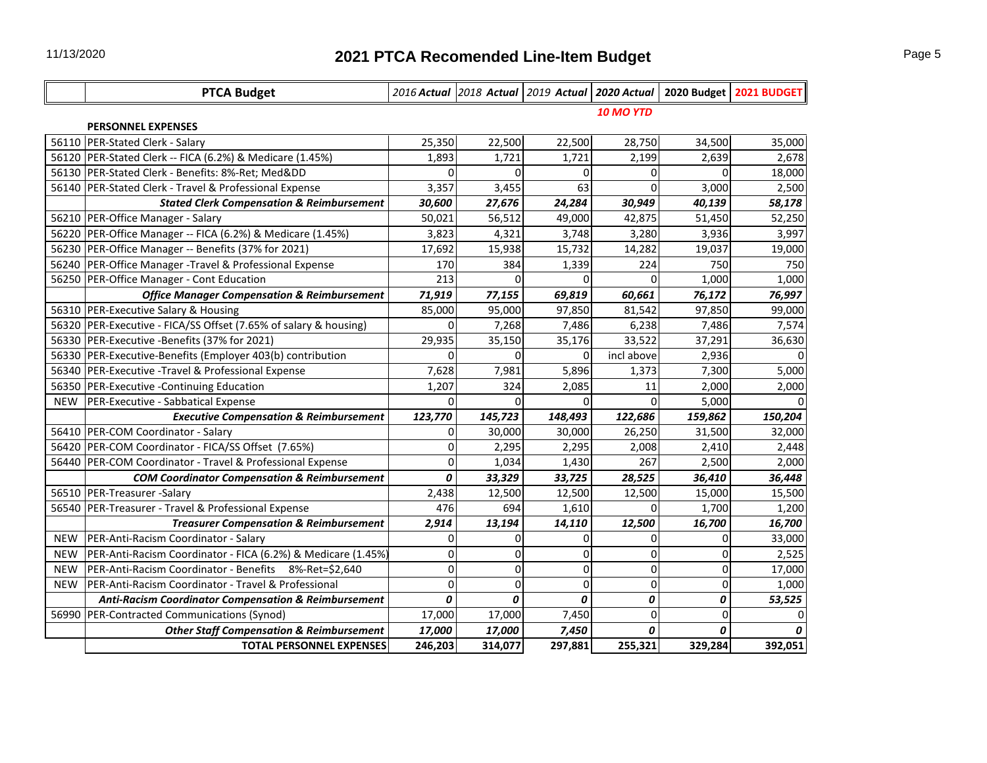|            | <b>PTCA Budget</b>                                               |              |                  |             |            |          | 2016 Actual 2018 Actual 2019 Actual 2020 Actual 2020 Budget 2021 BUDGET |  |
|------------|------------------------------------------------------------------|--------------|------------------|-------------|------------|----------|-------------------------------------------------------------------------|--|
|            |                                                                  |              | <b>10 MO YTD</b> |             |            |          |                                                                         |  |
|            | <b>PERSONNEL EXPENSES</b>                                        |              |                  |             |            |          |                                                                         |  |
|            | 56110 PER-Stated Clerk - Salary                                  | 25,350       | 22,500           | 22,500      | 28,750     | 34,500   | 35,000                                                                  |  |
|            | 56120 PER-Stated Clerk -- FICA (6.2%) & Medicare (1.45%)         | 1,893        | 1,721            | 1,721       | 2,199      | 2,639    | 2,678                                                                   |  |
|            | 56130 PER-Stated Clerk - Benefits: 8%-Ret; Medⅅ                  | $\Omega$     | $\Omega$         | $\Omega$    | 0          | $\Omega$ | 18,000                                                                  |  |
|            | 56140 PER-Stated Clerk - Travel & Professional Expense           | 3,357        | 3,455            | 63          | O          | 3,000    | 2,500                                                                   |  |
|            | <b>Stated Clerk Compensation &amp; Reimbursement</b>             | 30,600       | 27,676           | 24,284      | 30,949     | 40,139   | 58,178                                                                  |  |
|            | 56210 PER-Office Manager - Salary                                | 50,021       | 56,512           | 49,000      | 42,875     | 51,450   | 52,250                                                                  |  |
|            | 56220 PER-Office Manager -- FICA (6.2%) & Medicare (1.45%)       | 3,823        | 4,321            | 3,748       | 3,280      | 3,936    | 3,997                                                                   |  |
|            | 56230 PER-Office Manager -- Benefits (37% for 2021)              | 17,692       | 15,938           | 15,732      | 14,282     | 19,037   | 19,000                                                                  |  |
|            | 56240 PER-Office Manager - Travel & Professional Expense         | 170          | 384              | 1,339       | 224        | 750      | 750                                                                     |  |
|            | 56250 PER-Office Manager - Cont Education                        | 213          | $\Omega$         | O           | $\Omega$   | 1,000    | 1,000                                                                   |  |
|            | <b>Office Manager Compensation &amp; Reimbursement</b>           | 71,919       | 77,155           | 69,819      | 60,661     | 76,172   | 76,997                                                                  |  |
|            | 56310 PER-Executive Salary & Housing                             | 85,000       | 95,000           | 97,850      | 81,542     | 97,850   | 99,000                                                                  |  |
|            | 56320 PER-Executive - FICA/SS Offset (7.65% of salary & housing) | $\Omega$     | 7,268            | 7,486       | 6,238      | 7,486    | 7,574                                                                   |  |
|            | 56330 PER-Executive -Benefits (37% for 2021)                     | 29,935       | 35,150           | 35,176      | 33,522     | 37,291   | 36,630                                                                  |  |
|            | 56330 PER-Executive-Benefits (Employer 403(b) contribution       | οI           | $\Omega$         | 0           | incl above | 2,936    |                                                                         |  |
|            | 56340 PER-Executive -Travel & Professional Expense               | 7,628        | 7,981            | 5,896       | 1,373      | 7,300    | 5,000                                                                   |  |
|            | 56350 PER-Executive -Continuing Education                        | 1,207        | 324              | 2,085       | 11         | 2,000    | 2,000                                                                   |  |
| NEW        | PER-Executive - Sabbatical Expense                               | 0            | $\Omega$         | 0           | $\Omega$   | 5,000    |                                                                         |  |
|            | <b>Executive Compensation &amp; Reimbursement</b>                | 123,770      | 145,723          | 148,493     | 122,686    | 159,862  | 150,204                                                                 |  |
|            | 56410 PER-COM Coordinator - Salary                               | $\Omega$     | 30,000           | 30,000      | 26,250     | 31,500   | 32,000                                                                  |  |
|            | 56420   PER-COM Coordinator - FICA/SS Offset (7.65%)             | $\Omega$     | 2,295            | 2,295       | 2,008      | 2,410    | 2,448                                                                   |  |
|            | 56440 PER-COM Coordinator - Travel & Professional Expense        | $\Omega$     | 1,034            | 1,430       | 267        | 2,500    | 2,000                                                                   |  |
|            | <b>COM Coordinator Compensation &amp; Reimbursement</b>          | 0            | 33,329           | 33,725      | 28,525     | 36,410   | 36,448                                                                  |  |
|            | 56510 PER-Treasurer -Salary                                      | 2,438        | 12,500           | 12,500      | 12,500     | 15,000   | 15,500                                                                  |  |
|            | 56540 PER-Treasurer - Travel & Professional Expense              | 476          | 694              | 1,610       | 0          | 1,700    | 1,200                                                                   |  |
|            | <b>Treasurer Compensation &amp; Reimbursement</b>                | 2,914        | 13,194           | 14,110      | 12,500     | 16,700   | 16,700                                                                  |  |
| <b>NEW</b> | PER-Anti-Racism Coordinator - Salary                             | $\Omega$     | $\Omega$         | 0           | 0          | 0        | 33,000                                                                  |  |
| <b>NEW</b> | PER-Anti-Racism Coordinator - FICA (6.2%) & Medicare (1.45%)     | $\Omega$     | $\Omega$         | 0           | 0          | 0        | 2,525                                                                   |  |
| <b>NEW</b> | PER-Anti-Racism Coordinator - Benefits 8%-Ret=\$2,640            | $\Omega$     | $\Omega$         | 0           | 0          | 0        | 17,000                                                                  |  |
| <b>NEW</b> | PER-Anti-Racism Coordinator - Travel & Professional              | $\mathbf{O}$ | $\mathbf 0$      | $\mathbf 0$ | 0          | 0        | 1,000                                                                   |  |
|            | <b>Anti-Racism Coordinator Compensation &amp; Reimbursement</b>  | 0            | 0                | 0           | 0          | 0        | 53,525                                                                  |  |
|            | 56990 PER-Contracted Communications (Synod)                      | 17,000       | 17,000           | 7,450       | $\Omega$   | 0        | $\Omega$                                                                |  |
|            | <b>Other Staff Compensation &amp; Reimbursement</b>              | 17,000       | 17,000           | 7,450       | 0          | 0        |                                                                         |  |
|            | <b>TOTAL PERSONNEL EXPENSES</b>                                  | 246,203      | 314,077          | 297,881     | 255,321    | 329,284  | 392,051                                                                 |  |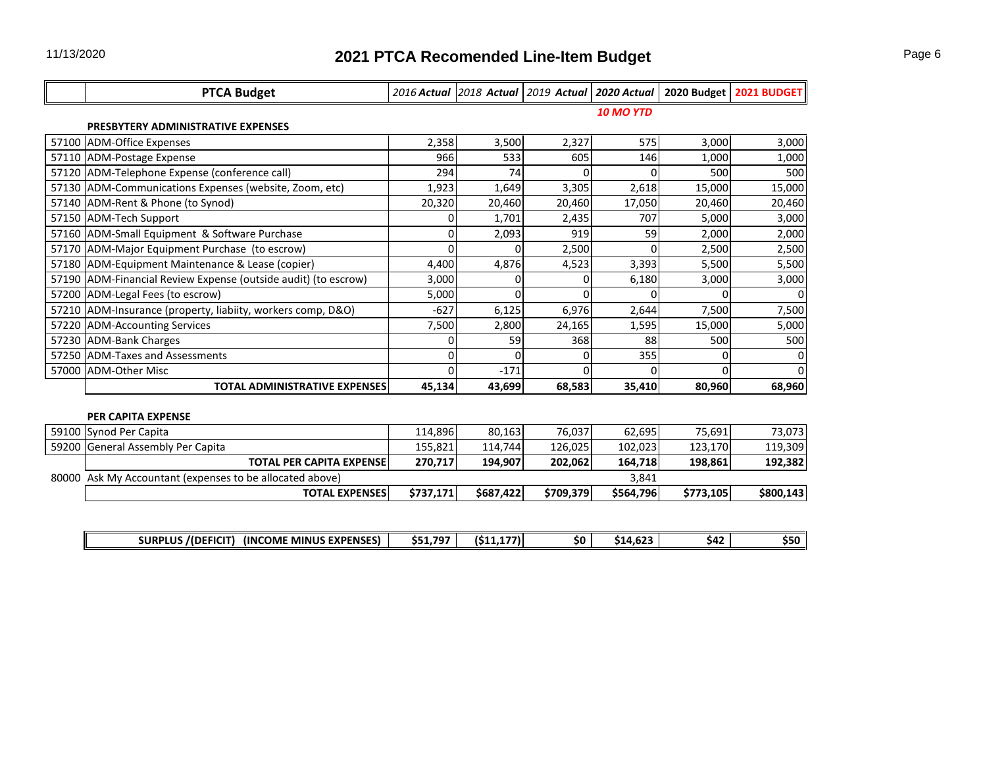|       | <b>PTCA Budget</b>                                             |           |           |           |                  |           | 2016 Actual 2018 Actual 2019 Actual 2020 Actual 2020 Budget 2021 BUDGET |  |  |  |
|-------|----------------------------------------------------------------|-----------|-----------|-----------|------------------|-----------|-------------------------------------------------------------------------|--|--|--|
|       |                                                                |           |           |           | <b>10 MO YTD</b> |           |                                                                         |  |  |  |
|       | PRESBYTERY ADMINISTRATIVE EXPENSES                             |           |           |           |                  |           |                                                                         |  |  |  |
| 57100 | ADM-Office Expenses                                            | 2,358     | 3,500     | 2,327     | 575              | 3,000     | 3,000                                                                   |  |  |  |
|       | 57110 ADM-Postage Expense                                      | 966       | 533       | 605       | 146              | 1,000     | 1,000                                                                   |  |  |  |
|       | 57120 ADM-Telephone Expense (conference call)                  | 294       | 74        | 0         | 0                | 500       | 500                                                                     |  |  |  |
|       | 57130 ADM-Communications Expenses (website, Zoom, etc)         | 1,923     | 1,649     | 3,305     | 2,618            | 15,000    | 15,000                                                                  |  |  |  |
|       | 57140 ADM-Rent & Phone (to Synod)                              | 20,320    | 20,460    | 20,460    | 17,050           | 20,460    | 20,460                                                                  |  |  |  |
|       | 57150 ADM-Tech Support                                         | $\Omega$  | 1,701     | 2,435     | 707              | 5,000     | 3,000                                                                   |  |  |  |
|       | 57160 ADM-Small Equipment & Software Purchase                  | 0         | 2,093     | 919       | 59               | 2,000     | 2,000                                                                   |  |  |  |
|       | 57170 ADM-Major Equipment Purchase (to escrow)                 | $\Omega$  | $\Omega$  | 2,500     | $\Omega$         | 2,500     | 2,500                                                                   |  |  |  |
|       | 57180 ADM-Equipment Maintenance & Lease (copier)               | 4,400     | 4,876     | 4,523     | 3,393            | 5,500     | 5,500                                                                   |  |  |  |
|       | 57190 ADM-Financial Review Expense (outside audit) (to escrow) | 3,000     | $\Omega$  | 0         | 6,180            | 3,000     | 3,000                                                                   |  |  |  |
|       | 57200 ADM-Legal Fees (to escrow)                               | 5,000     | $\Omega$  | 0         | 0                | 0         |                                                                         |  |  |  |
|       | 57210 ADM-Insurance (property, liabiity, workers comp, D&O)    | $-627$    | 6,125     | 6,976     | 2,644            | 7,500     | 7,500                                                                   |  |  |  |
| 57220 | <b>ADM-Accounting Services</b>                                 | 7,500     | 2,800     | 24,165    | 1,595            | 15,000    | 5,000                                                                   |  |  |  |
|       | 57230 ADM-Bank Charges                                         | 0         | 59        | 368       | 88               | 500       | 500                                                                     |  |  |  |
|       | 57250 ADM-Taxes and Assessments                                | 0         | $\Omega$  |           | 355              | 0         |                                                                         |  |  |  |
| 57000 | <b>ADM-Other Misc</b>                                          | O         | $-171$    | U         | 0                | U         |                                                                         |  |  |  |
|       | TOTAL ADMINISTRATIVE EXPENSES                                  | 45,134    | 43,699    | 68,583    | 35,410           | 80,960    | 68,960                                                                  |  |  |  |
|       |                                                                |           |           |           |                  |           |                                                                         |  |  |  |
|       | <b>PER CAPITA EXPENSE</b>                                      |           |           |           |                  |           |                                                                         |  |  |  |
| 59100 | Synod Per Capita                                               | 114,896   | 80,163    | 76,037    | 62,695           | 75,691    | 73,073                                                                  |  |  |  |
|       | 59200 General Assembly Per Capita                              | 155,821   | 114,744   | 126,025   | 102,023          | 123,170   | 119,309                                                                 |  |  |  |
|       | <b>TOTAL PER CAPITA EXPENSE</b>                                | 270,717   | 194,907   | 202,062   | 164,718          | 198,861   | 192,382                                                                 |  |  |  |
|       | 80000 Ask My Accountant (expenses to be allocated above)       |           |           |           | 3,841            |           |                                                                         |  |  |  |
|       | <b>TOTAL EXPENSES</b>                                          | \$737,171 | \$687,422 | \$709,379 | \$564,796        | \$773,105 | \$800,143                                                               |  |  |  |
|       |                                                                |           |           |           |                  |           |                                                                         |  |  |  |
|       |                                                                |           |           |           |                  |           |                                                                         |  |  |  |

**SURPLUS /(DEFICIT) (INCOME MINUS EXPENSES) \$51,797 (\$11,177) \$0 \$14,623 \$42 \$50**